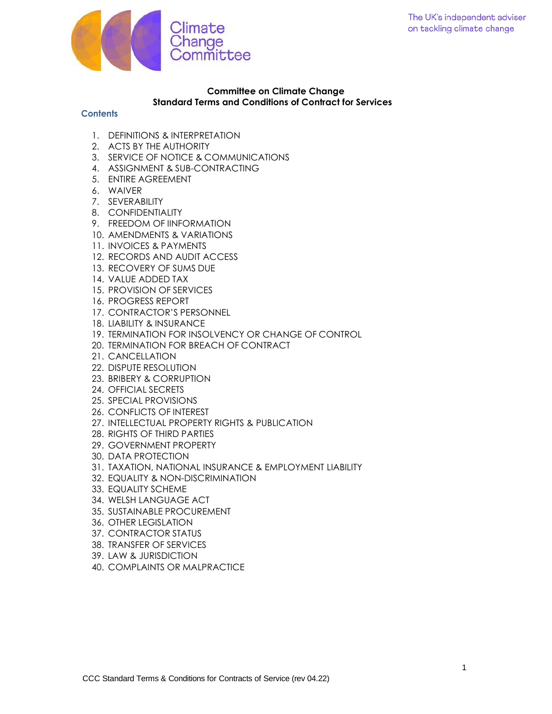

## **Committee on Climate Change Standard Terms and Conditions of Contract for Services**

### **Contents**

- 1. DEFINITIONS & INTERPRETATION
- 2. ACTS BY THE AUTHORITY
- 3. SERVICE OF NOTICE & COMMUNICATIONS
- 4. ASSIGNMENT & SUB-CONTRACTING
- 5. ENTIRE AGREEMENT
- 6. WAIVER
- 7. SEVERABILITY
- 8. CONFIDENTIALITY
- 9. FREEDOM OF IINFORMATION
- 10. AMENDMENTS & VARIATIONS
- 11. INVOICES & PAYMENTS
- 12. RECORDS AND AUDIT ACCESS
- 13. RECOVERY OF SUMS DUE
- 14. VALUE ADDED TAX
- 15. PROVISION OF SERVICES
- 16. PROGRESS REPORT
- 17. CONTRACTOR'S PERSONNEL
- 18. LIABILITY & INSURANCE
- 19. TERMINATION FOR INSOLVENCY OR CHANGE OF CONTROL
- 20. TERMINATION FOR BREACH OF CONTRACT
- 21. CANCELLATION
- 22. DISPUTE RESOLUTION
- 23. BRIBERY & CORRUPTION
- 24. OFFICIAL SECRETS
- 25. SPECIAL PROVISIONS
- 26. CONFLICTS OF INTEREST
- 27. INTELLECTUAL PROPERTY RIGHTS & PUBLICATION
- 28. RIGHTS OF THIRD PARTIES
- 29. GOVERNMENT PROPERTY
- 30. DATA PROTECTION
- 31. TAXATION, NATIONAL INSURANCE & EMPLOYMENT LIABILITY
- 32. EQUALITY & NON-DISCRIMINATION
- 33. EQUALITY SCHEME
- 34. WELSH LANGUAGE ACT
- 35. SUSTAINABLE PROCUREMENT
- 36. OTHER LEGISLATION
- 37. CONTRACTOR STATUS
- 38. TRANSFER OF SERVICES
- 39. LAW & JURISDICTION
- 40. COMPLAINTS OR MALPRACTICE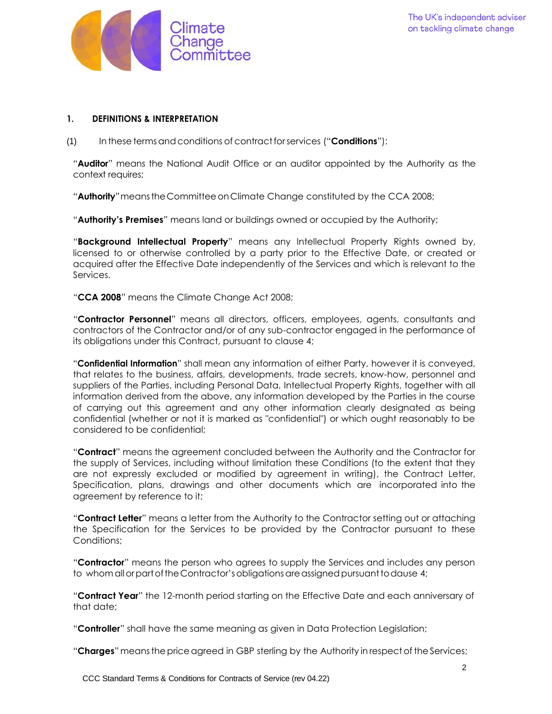

## **1. DEFINITIONS & INTERPRETATION**

(1) In thesetermsandconditions of contractforservices ("**Conditions**"):

"**Auditor**" means the National Audit Office or an auditor appointed by the Authority as the context requires;

"**Authority**"meanstheCommitteeon Climate Change constituted by the CCA 2008;

"**Authority's Premises**" means land or buildings owned or occupied by the Authority;

"**Background Intellectual Property**" means any Intellectual Property Rights owned by, licensed to or otherwise controlled by a party prior to the Effective Date, or created or acquired after the Effective Date independently of the Services and which is relevant to the Services.

"**CCA 2008**" means the Climate Change Act 2008;

"**Contractor Personnel**" means all directors, officers, employees, agents, consultants and contractors of the Contractor and/or of any sub-contractor engaged in the performance of its obligations under this Contract, pursuant to clause 4;

"**Confidential Information**" shall mean any information of either Party, however it is conveyed, that relates to the business, affairs, developments, trade secrets, know-how, personnel and suppliers of the Parties, including Personal Data, Intellectual Property Rights, together with all information derived from the above, any information developed by the Parties in the course of carrying out this agreement and any other information clearly designated as being confidential (whether or not it is marked as "confidential") or which ought reasonably to be considered to be confidential;

"**Contract**" means the agreement concluded between the Authority and the Contractor for the supply of Services, including without limitation these Conditions (to the extent that they are not expressly excluded or modified by agreement in writing), the Contract Letter, Specification, plans, drawings and other documents which are incorporated into the agreement by reference to it;

"**Contract Letter**" means a letter from the Authority to the Contractor setting out or attaching the Specification for the Services to be provided by the Contractor pursuant to these Conditions;

"**Contractor**" means the person who agrees to supply the Services and includes any person to whom all or part of the Contractor's obligations are assigned pursuant to dause 4;

"**Contract Year**" the 12-month period starting on the Effective Date and each anniversary of that date;

"**Controller**" shall have the same meaning as given in Data Protection Legislation;

"**Charges**" meansthepriceagreed in GBP sterling by the Authority in respectof theServices;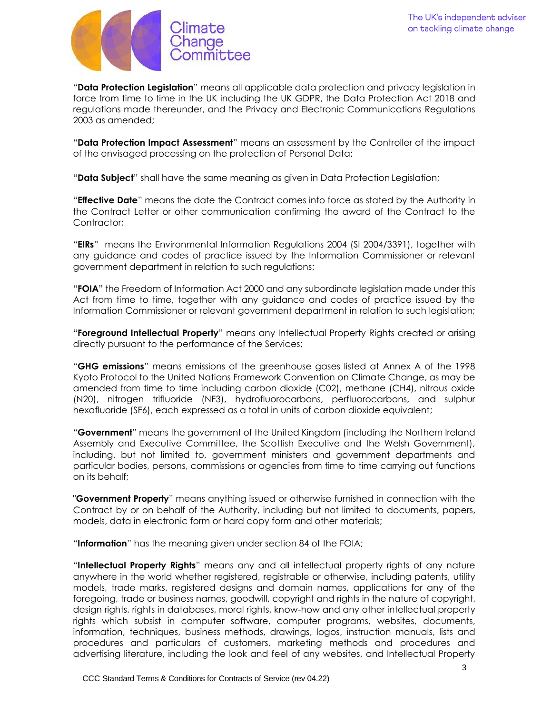

"**Data Protection Legislation**" means all applicable data protection and privacy legislation in force from time to time in the UK including the UK GDPR, the Data Protection Act 2018 and regulations made thereunder, and the Privacy and Electronic Communications Regulations 2003 as amended;

"**Data Protection Impact Assessment**" means an assessment by the Controller of the impact of the envisaged processing on the protection of Personal Data;

"**Data Subject**" shall have the same meaning as given in Data Protection Legislation;

"**Effective Date**" means the date the Contract comes into force as stated by the Authority in the Contract Letter or other communication confirming the award of the Contract to the Contractor:

"**EIRs**" means the Environmental Information Regulations 2004 (SI 2004/3391), together with any guidance and codes of practice issued by the Information Commissioner or relevant government department in relation to such regulations;

"**FOIA**" the Freedom of Information Act 2000 and any subordinate legislation made under this Act from time to time, together with any guidance and codes of practice issued by the Information Commissioner or relevant government department in relation to such legislation;

"**Foreground Intellectual Property**" means any Intellectual Property Rights created or arising directly pursuant to the performance of the Services;

"**GHG emissions**" means emissions of the greenhouse gases listed at Annex A of the 1998 Kyoto Protocol to the United Nations Framework Convention on Climate Change, as may be amended from time to time including carbon dioxide (C02), methane (CH4), nitrous oxide (N20), nitrogen trifluoride (NF3), hydrofluorocarbons, perfluorocarbons, and sulphur hexafluoride (SF6), each expressed as a total in units of carbon dioxide equivalent;

"**Government**" means the government of the United Kingdom (including the Northern Ireland Assembly and Executive Committee, the Scottish Executive and the Welsh Government), including, but not limited to, government ministers and government departments and particular bodies, persons, commissions or agencies from time to time carrying out functions on its behalf;

"**Government Property**" means anything issued or otherwise furnished in connection with the Contract by or on behalf of the Authority, including but not limited to documents, papers, models, data in electronic form or hard copy form and other materials;

"**Information**" has the meaning given under section 84 of the FOIA;

"**Intellectual Property Rights**" means any and all intellectual property rights of any nature anywhere in the world whether registered, registrable or otherwise, including patents, utility models, trade marks, registered designs and domain names, applications for any of the foregoing, trade or business names, goodwill, copyright and rights in the nature of copyright, design rights, rights in databases, moral rights, know-how and any other intellectual property rights which subsist in computer software, computer programs, websites, documents, information, techniques, business methods, drawings, logos, instruction manuals, lists and procedures and particulars of customers, marketing methods and procedures and advertising literature, including the look and feel of any websites, and Intellectual Property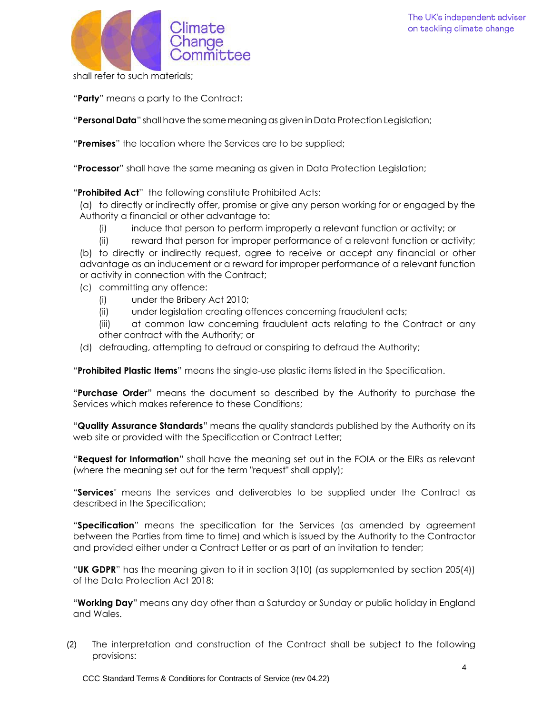

shall refer to such materials;

"**Party**" means a party to the Contract;

"**Personal Data**" shall have thesamemeaningasgiven in Data Protection Legislation;

"**Premises**" the location where the Services are to be supplied;

"**Processor**" shall have the same meaning as given in Data Protection Legislation;

"**Prohibited Act**" the following constitute Prohibited Acts:

(a) to directly or indirectly offer, promise or give any person working for or engaged by the Authority a financial or other advantage to:

- (i) induce that person to perform improperly a relevant function or activity; or
- (ii) reward that person for improper performance of a relevant function or activity;

(b) to directly or indirectly request, agree to receive or accept any financial or other advantage as an inducement or a reward for improper performance of a relevant function or activity in connection with the Contract;

- (c) committing any offence:
	- (i) under the Bribery Act 2010;
	- (ii) under legislation creating offences concerning fraudulent acts;
	- (iii) at common law concerning fraudulent acts relating to the Contract or any other contract with the Authority; or
- (d) defrauding, attempting to defraud or conspiring to defraud the Authority;

"**Prohibited Plastic Items**" means the single-use plastic items listed in the Specification.

"**Purchase Order**" means the document so described by the Authority to purchase the Services which makes reference to these Conditions;

"**Quality Assurance Standards**" means the quality standards published by the Authority on its web site or provided with the Specification or Contract Letter;

"**Request for Information**" shall have the meaning set out in the FOIA or the EIRs as relevant (where the meaning set out for the term "request" shall apply);

"**Services**" means the services and deliverables to be supplied under the Contract as described in the Specification;

"**Specification**" means the specification for the Services (as amended by agreement between the Parties from time to time) and which is issued by the Authority to the Contractor and provided either under a Contract Letter or as part of an invitation to tender;

"**UK GDPR**" has the meaning given to it in section 3(10) (as supplemented by section 205(4)) of the Data Protection Act 2018;

"**Working Day**" means any day other than a Saturday or Sunday or public holiday in England and Wales.

(2) The interpretation and construction of the Contract shall be subject to the following provisions: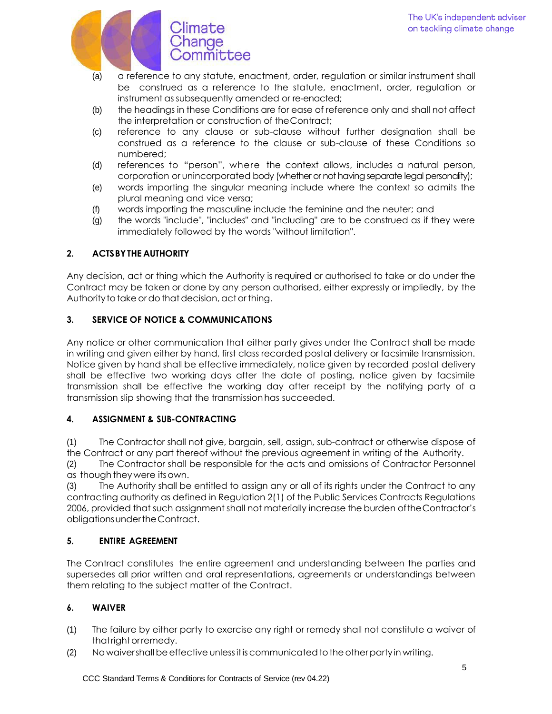

- (a) a reference to any statute, enactment, order, regulation or similar instrument shall be construed as a reference to the statute, enactment, order, regulation or instrument assubsequently amended or re-enacted;
- (b) the headings in these Conditions are for ease of reference only and shall not affect the interpretation or construction of theContract;
- (c) reference to any clause or sub-clause without further designation shall be construed as a reference to the clause or sub-clause of these Conditions so numbered;
- (d) references to "person", where the context allows, includes a natural person, corporation or unincorporated body (whether or not having separate legal personality);
- (e) words importing the singular meaning include where the context so admits the plural meaning and vice versa;
- (f) words importing the masculine include the feminine and the neuter; and
- (g) the words "include", "includes" and "including" are to be construed as if they were immediately followed by the words "without limitation".

# **2. ACTSBYTHE AUTHORITY**

Any decision, act or thing which the Authority is required or authorised to take or do under the Contract may be taken or done by any person authorised, either expressly or impliedly, by the Authority to take or do that decision, act or thing.

## **3. SERVICE OF NOTICE & COMMUNICATIONS**

Any notice or other communication that either party gives under the Contract shall be made in writing and given either by hand, first class recorded postal delivery or facsimile transmission. Notice given by hand shall be effective immediately, notice given by recorded postal delivery shall be effective two working days after the date of posting, notice given by facsimile transmission shall be effective the working day after receipt by the notifying party of a transmission slip showing that the transmissionhas succeeded.

## **4. ASSIGNMENT & SUB-CONTRACTING**

(1) The Contractor shall not give, bargain, sell, assign, sub-contract or otherwise dispose of the Contract or any part thereof without the previous agreement in writing of the Authority.

(2) The Contractor shall be responsible for the acts and omissions of Contractor Personnel as though they were itsown.

(3) The Authority shall be entitled to assign any or all of its rights under the Contract to any contracting authority as defined in Regulation 2(1) of the Public Services Contracts Regulations 2006, provided that such assignment shall not materially increase the burden oftheContractor's obligationsundertheContract.

# **5. ENTIRE AGREEMENT**

The Contract constitutes the entire agreement and understanding between the parties and supersedes all prior written and oral representations, agreements or understandings between them relating to the subject matter of the Contract.

# **6. WAIVER**

- (1) The failure by either party to exercise any right or remedy shall not constitute a waiver of that right or remedy.
- (2) No waivershall be effective unless it is communicated to the other party in writing.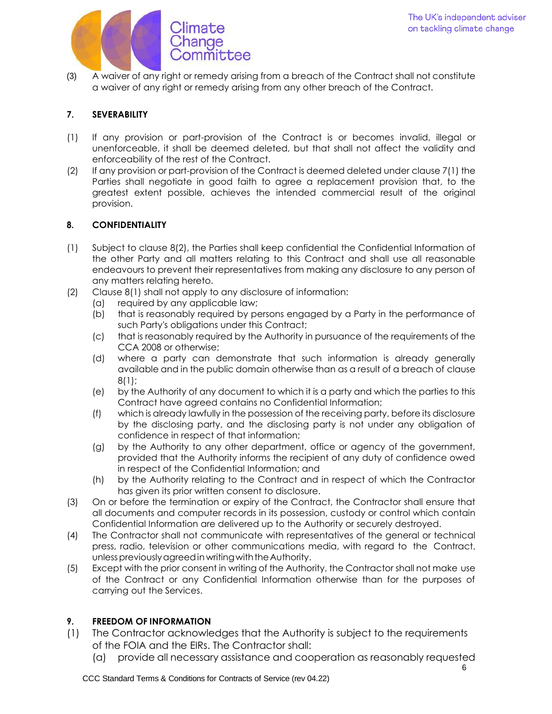

(3) A waiver of any right or remedy arising from a breach of the Contract shall not constitute a waiver of any right or remedy arising from any other breach of the Contract.

# **7. SEVERABILITY**

- (1) If any provision or part-provision of the Contract is or becomes invalid, illegal or unenforceable, it shall be deemed deleted, but that shall not affect the validity and enforceability of the rest of the Contract.
- (2) If any provision or part-provision of the Contract is deemed deleted under clause 7(1) the Parties shall negotiate in good faith to agree a replacement provision that, to the greatest extent possible, achieves the intended commercial result of the original provision.

## **8. CONFIDENTIALITY**

- (1) Subject to clause 8(2), the Parties shall keep confidential the Confidential Information of the other Party and all matters relating to this Contract and shall use all reasonable endeavours to prevent their representatives from making any disclosure to any person of any matters relating hereto.
- (2) Clause 8(1) shall not apply to any disclosure of information:
	- (a) required by any applicable law;
	- (b) that is reasonably required by persons engaged by a Party in the performance of such Party's obligations under this Contract;
	- (c) that is reasonably required by the Authority in pursuance of the requirements of the CCA 2008 or otherwise;
	- (d) where a party can demonstrate that such information is already generally available and in the public domain otherwise than as a result of a breach of clause 8(1);
	- (e) by the Authority of any document to which it is a party and which the parties to this Contract have agreed contains no Confidential Information;
	- (f) which is already lawfully in the possession of the receiving party, before its disclosure by the disclosing party, and the disclosing party is not under any obligation of confidence in respect of that information;
	- (g) by the Authority to any other department, office or agency of the government, provided that the Authority informs the recipient of any duty of confidence owed in respect of the Confidential Information; and
	- (h) by the Authority relating to the Contract and in respect of which the Contractor has given its prior written consent to disclosure.
- (3) On or before the termination or expiry of the Contract, the Contractor shall ensure that all documents and computer records in its possession, custody or control which contain Confidential Information are delivered up to the Authority or securely destroyed.
- (4) The Contractor shall not communicate with representatives of the general or technical press, radio, television or other communications media, with regard to the Contract, unless previously agreed in writing with the Authority.
- (5) Except with the prior consent in writing of the Authority, the Contractor shall not make use of the Contract or any Confidential Information otherwise than for the purposes of carrying out the Services.

# **9. FREEDOM OF INFORMATION**

- (1) The Contractor acknowledges that the Authority is subject to the requirements of the FOIA and the EIRs. The Contractor shall:
	- (a) provide all necessary assistance and cooperation as reasonably requested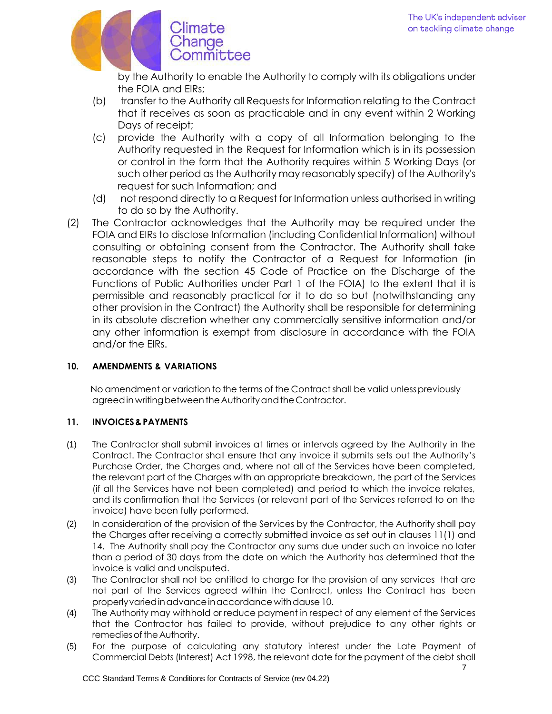

by the Authority to enable the Authority to comply with its obligations under the FOIA and EIRs;

- (b) transfer to the Authority all Requests for Information relating to the Contract that it receives as soon as practicable and in any event within 2 Working Days of receipt;
- (c) provide the Authority with a copy of all Information belonging to the Authority requested in the Request for Information which is in its possession or control in the form that the Authority requires within 5 Working Days (or such other period as the Authority may reasonably specify) of the Authority's request for such Information; and
- (d) not respond directly to a Request for Information unless authorised in writing to do so by the Authority.
- (2) The Contractor acknowledges that the Authority may be required under the FOIA and EIRs to disclose Information (including Confidential Information) without consulting or obtaining consent from the Contractor. The Authority shall take reasonable steps to notify the Contractor of a Request for Information (in accordance with the section 45 Code of Practice on the Discharge of the Functions of Public Authorities under Part 1 of the FOIA) to the extent that it is permissible and reasonably practical for it to do so but (notwithstanding any other provision in the Contract) the Authority shall be responsible for determining in its absolute discretion whether any commercially sensitive information and/or any other information is exempt from disclosure in accordance with the FOIA and/or the EIRs.

# **10. AMENDMENTS & VARIATIONS**

No amendment or variation to the terms of the Contract shall be valid unless previously agreed in writing between the Authority and the Contractor.

# **11. INVOICES&PAYMENTS**

- (1) The Contractor shall submit invoices at times or intervals agreed by the Authority in the Contract. The Contractor shall ensure that any invoice it submits sets out the Authority's Purchase Order, the Charges and, where not all of the Services have been completed, the relevant part of the Charges with an appropriate breakdown, the part of the Services (if all the Services have not been completed) and period to which the invoice relates, and its confirmation that the Services (or relevant part of the Services referred to on the invoice) have been fully performed.
- (2) In consideration of the provision of the Services by the Contractor, the Authority shall pay the Charges after receiving a correctly submitted invoice as set out in clauses 11(1) and 14. The Authority shall pay the Contractor any sums due under such an invoice no later than a period of 30 days from the date on which the Authority has determined that the invoice is valid and undisputed.
- (3) The Contractor shall not be entitled to charge for the provision of any services that are not part of the Services agreed within the Contract, unless the Contract has been properly varied in advance in accordance with dause 10.
- (4) The Authority may withhold or reduce payment in respect of any element of the Services that the Contractor has failed to provide, without prejudice to any other rights or remedies of the Authority.
- (5) For the purpose of calculating any statutory interest under the Late Payment of Commercial Debts (Interest) Act 1998, the relevant date for the payment of the debt shall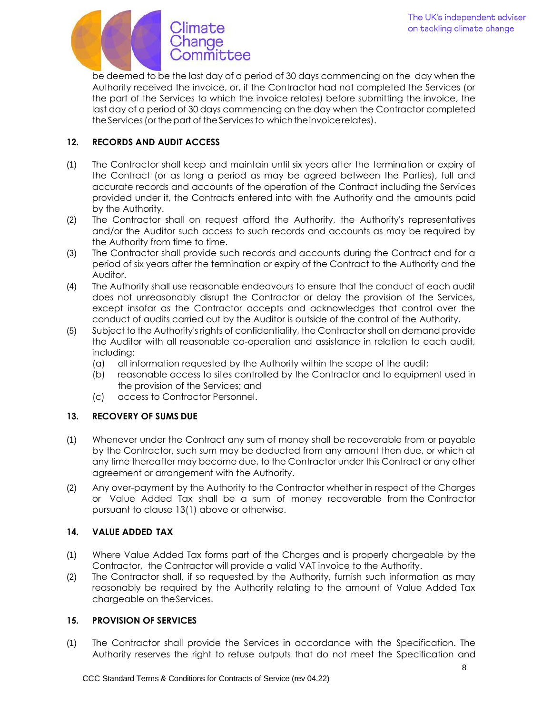

be deemed to be the last day of a period of 30 days commencing on the day when the Authority received the invoice, or, if the Contractor had not completed the Services (or the part of the Services to which the invoice relates) before submitting the invoice, the last day of a period of 30 days commencing on the day when the Contractor completed the Services (or the part of the Services to which the invoice relates).

## **12. RECORDS AND AUDIT ACCESS**

- (1) The Contractor shall keep and maintain until six years after the termination or expiry of the Contract (or as long a period as may be agreed between the Parties), full and accurate records and accounts of the operation of the Contract including the Services provided under it, the Contracts entered into with the Authority and the amounts paid by the Authority.
- (2) The Contractor shall on request afford the Authority, the Authority's representatives and/or the Auditor such access to such records and accounts as may be required by the Authority from time to time.
- (3) The Contractor shall provide such records and accounts during the Contract and for a period of six years after the termination or expiry of the Contract to the Authority and the Auditor.
- (4) The Authority shall use reasonable endeavours to ensure that the conduct of each audit does not unreasonably disrupt the Contractor or delay the provision of the Services, except insofar as the Contractor accepts and acknowledges that control over the conduct of audits carried out by the Auditor is outside of the control of the Authority.
- (5) Subject to the Authority's rights of confidentiality, the Contractor shall on demand provide the Auditor with all reasonable co-operation and assistance in relation to each audit, including:
	- (a) all information requested by the Authority within the scope of the audit;
	- (b) reasonable access to sites controlled by the Contractor and to equipment used in the provision of the Services; and
	- (c) access to Contractor Personnel.

## **13. RECOVERY OF SUMS DUE**

- (1) Whenever under the Contract any sum of money shall be recoverable from or payable by the Contractor, such sum may be deducted from any amount then due, or which at any time thereafter may become due, to the Contractor under this Contract or any other agreement or arrangement with the Authority.
- (2) Any over-payment by the Authority to the Contractor whether in respect of the Charges or Value Added Tax shall be a sum of money recoverable from the Contractor pursuant to clause 13(1) above or otherwise.

## **14. VALUE ADDED TAX**

- (1) Where Value Added Tax forms part of the Charges and is properly chargeable by the Contractor, the Contractor will provide a valid VAT invoice to the Authority.
- (2) The Contractor shall, if so requested by the Authority, furnish such information as may reasonably be required by the Authority relating to the amount of Value Added Tax chargeable on theServices.

## **15. PROVISION OF SERVICES**

(1) The Contractor shall provide the Services in accordance with the Specification. The Authority reserves the right to refuse outputs that do not meet the Specification and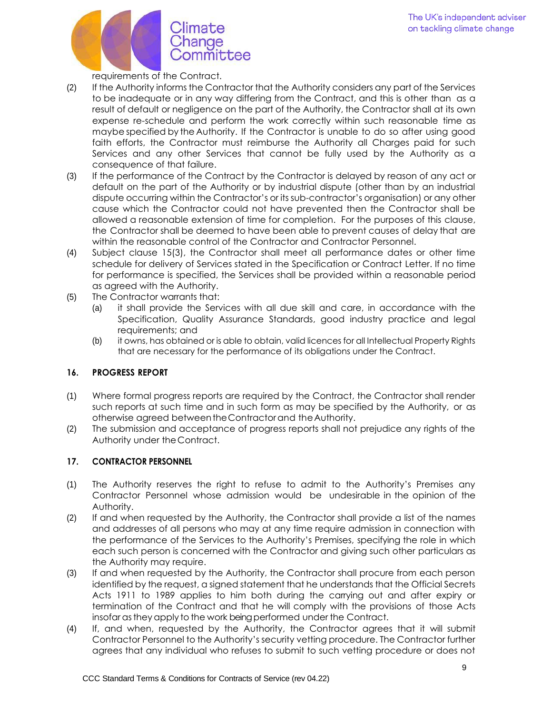

requirements of the Contract.

- (2) If the Authority informs the Contractor that the Authority considers any part of the Services to be inadequate or in any way differing from the Contract, and this is other than as a result of default or negligence on the part of the Authority, the Contractor shall at its own expense re-schedule and perform the work correctly within such reasonable time as maybe specified by the Authority. If the Contractor is unable to do so after using good faith efforts, the Contractor must reimburse the Authority all Charges paid for such Services and any other Services that cannot be fully used by the Authority as a consequence of that failure.
- (3) If the performance of the Contract by the Contractor is delayed by reason of any act or default on the part of the Authority or by industrial dispute (other than by an industrial dispute occurring within the Contractor's or its sub-contractor's organisation) or any other cause which the Contractor could not have prevented then the Contractor shall be allowed a reasonable extension of time for completion. For the purposes of this clause, the Contractor shall be deemed to have been able to prevent causes of delay that are within the reasonable control of the Contractor and Contractor Personnel.
- (4) Subject clause 15(3), the Contractor shall meet all performance dates or other time schedule for delivery of Services stated in the Specification or Contract Letter. If no time for performance is specified, the Services shall be provided within a reasonable period as agreed with the Authority.
- (5) The Contractor warrants that:
	- (a) it shall provide the Services with all due skill and care, in accordance with the Specification, Quality Assurance Standards, good industry practice and legal requirements; and
	- (b) it owns, has obtained or is able to obtain, valid licences for all Intellectual Property Rights that are necessary for the performance of its obligations under the Contract.

## **16. PROGRESS REPORT**

- (1) Where formal progress reports are required by the Contract, the Contractor shall render such reports at such time and in such form as may be specified by the Authority, or as otherwise agreed betweentheContractorand theAuthority.
- (2) The submission and acceptance of progress reports shall not prejudice any rights of the Authority under the Contract.

## **17. CONTRACTOR PERSONNEL**

- (1) The Authority reserves the right to refuse to admit to the Authority's Premises any Contractor Personnel whose admission would be undesirable in the opinion of the Authority.
- (2) If and when requested by the Authority, the Contractor shall provide a list of the names and addresses of all persons who may at any time require admission in connection with the performance of the Services to the Authority's Premises, specifying the role in which each such person is concerned with the Contractor and giving such other particulars as the Authority may require.
- (3) If and when requested by the Authority, the Contractor shall procure from each person identified by the request, a signed statement that he understands that the Official Secrets Acts 1911 to 1989 applies to him both during the carrying out and after expiry or termination of the Contract and that he will comply with the provisions of those Acts insofar as they apply to the work being performed under the Contract.
- (4) If, and when, requested by the Authority, the Contractor agrees that it will submit Contractor Personnel to the Authority's security vetting procedure. The Contractor further agrees that any individual who refuses to submit to such vetting procedure or does not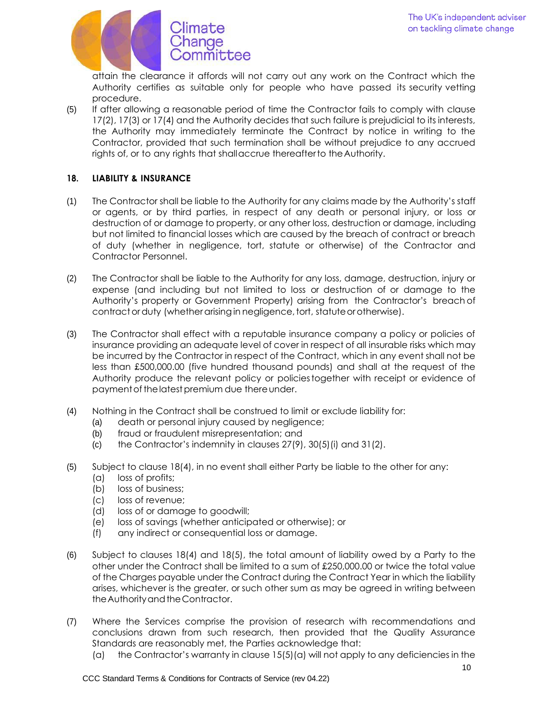

attain the clearance it affords will not carry out any work on the Contract which the Authority certifies as suitable only for people who have passed its security vetting procedure.

(5) If after allowing a reasonable period of time the Contractor fails to comply with clause 17(2), 17(3) or 17(4) and the Authority decides that such failure is prejudicial to its interests, the Authority may immediately terminate the Contract by notice in writing to the Contractor, provided that such termination shall be without prejudice to any accrued rights of, or to any rights that shallaccrue thereafterto the Authority.

## **18. LIABILITY & INSURANCE**

- (1) The Contractor shall be liable to the Authority for any claims made by the Authority's staff or agents, or by third parties, in respect of any death or personal injury, or loss or destruction of or damage to property, or any other loss, destruction or damage, including but not limited to financial losses which are caused by the breach of contract or breach of duty (whether in negligence, tort, statute or otherwise) of the Contractor and Contractor Personnel.
- (2) The Contractor shall be liable to the Authority for any loss, damage, destruction, injury or expense (and including but not limited to loss or destruction of or damage to the Authority's property or Government Property) arising from the Contractor's breach of contract or duty (whether arising in negligence, tort, statute or otherwise).
- (3) The Contractor shall effect with a reputable insurance company a policy or policies of insurance providing an adequate level of cover in respect of all insurable risks which may be incurred by the Contractor in respect of the Contract, which in any event shall not be less than £500,000.00 (five hundred thousand pounds) and shall at the request of the Authority produce the relevant policy or policiestogether with receipt or evidence of payment of the latest premium due there under.
- (4) Nothing in the Contract shall be construed to limit or exclude liability for:
	- (a) death or personal injury caused by negligence;
	- (b) fraud or fraudulent misrepresentation; and
	- (c) the Contractor's indemnity in clauses  $27(9)$ ,  $30(5)(i)$  and  $31(2)$ .
- (5) Subject to clause 18(4), in no event shall either Party be liable to the other for any:
	- (a) loss of profits;
	- (b) loss of business;
	- (c) loss of revenue;
	- (d) loss of or damage to goodwill;
	- (e) loss of savings (whether anticipated or otherwise); or
	- (f) any indirect or consequential loss or damage.
- (6) Subject to clauses 18(4) and 18(5), the total amount of liability owed by a Party to the other under the Contract shall be limited to a sum of £250,000.00 or twice the total value of the Charges payable under the Contract during the Contract Year in which the liability arises, whichever is the greater, or such other sum as may be agreed in writing between the Authority and the Contractor.
- (7) Where the Services comprise the provision of research with recommendations and conclusions drawn from such research, then provided that the Quality Assurance Standards are reasonably met, the Parties acknowledge that:
	- (a) the Contractor's warranty in clause  $15(5)(a)$  will not apply to any deficiencies in the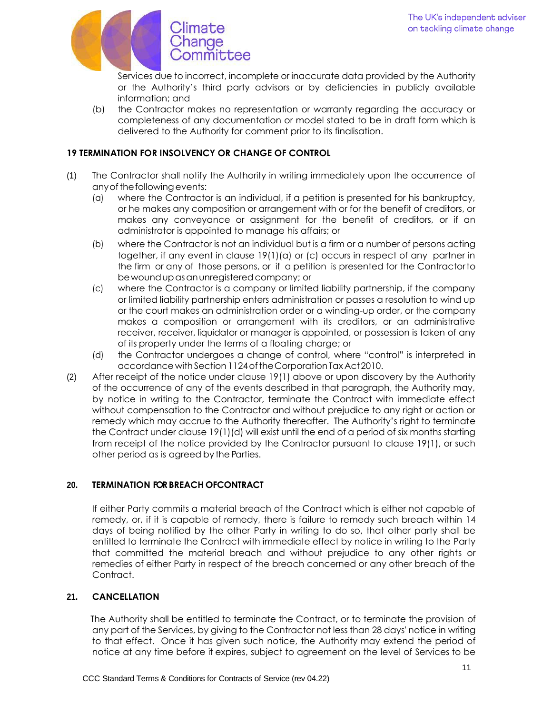

Services due to incorrect, incomplete or inaccurate data provided by the Authority or the Authority's third party advisors or by deficiencies in publicly available information; and

(b) the Contractor makes no representation or warranty regarding the accuracy or completeness of any documentation or model stated to be in draft form which is delivered to the Authority for comment prior to its finalisation.

## **19 TERMINATION FOR INSOLVENCY OR CHANGE OF CONTROL**

- (1) The Contractor shall notify the Authority in writing immediately upon the occurrence of any of the following events:
	- (a) where the Contractor is an individual, if a petition is presented for his bankruptcy, or he makes any composition or arrangement with or for the benefit of creditors, or makes any conveyance or assignment for the benefit of creditors, or if an administrator is appointed to manage his affairs; or
	- (b) where the Contractor is not an individual but is a firm or a number of persons acting together, if any event in clause 19(1)(a) or (c) occurs in respect of any partner in the firm or any of those persons, or if a petition is presented for the Contractorto bewoundupasanunregisteredcompany; or
	- (c) where the Contractor is a company or limited liability partnership, if the company or limited liability partnership enters administration or passes a resolution to wind up or the court makes an administration order or a winding-up order, or the company makes a composition or arrangement with its creditors, or an administrative receiver, receiver, liquidator or manager is appointed, or possession is taken of any of its property under the terms of a floating charge; or
	- (d) the Contractor undergoes a change of control, where "control" is interpreted in accordance with Section 1124 of the Corporation Tax Act 2010.
- (2) After receipt of the notice under clause 19(1) above or upon discovery by the Authority of the occurrence of any of the events described in that paragraph, the Authority may, by notice in writing to the Contractor, terminate the Contract with immediate effect without compensation to the Contractor and without prejudice to any right or action or remedy which may accrue to the Authority thereafter. The Authority's right to terminate the Contract under clause 19(1)(d) will exist until the end of a period of six months starting from receipt of the notice provided by the Contractor pursuant to clause 19(1), or such other period as is agreed by the Parties.

## **20. TERMINATION FOR BREACH OFCONTRACT**

If either Party commits a material breach of the Contract which is either not capable of remedy, or, if it is capable of remedy, there is failure to remedy such breach within 14 days of being notified by the other Party in writing to do so, that other party shall be entitled to terminate the Contract with immediate effect by notice in writing to the Party that committed the material breach and without prejudice to any other rights or remedies of either Party in respect of the breach concerned or any other breach of the Contract.

## **21. CANCELLATION**

The Authority shall be entitled to terminate the Contract, or to terminate the provision of any part of the Services, by giving to the Contractor not less than 28 days' notice in writing to that effect. Once it has given such notice, the Authority may extend the period of notice at any time before it expires, subject to agreement on the level of Services to be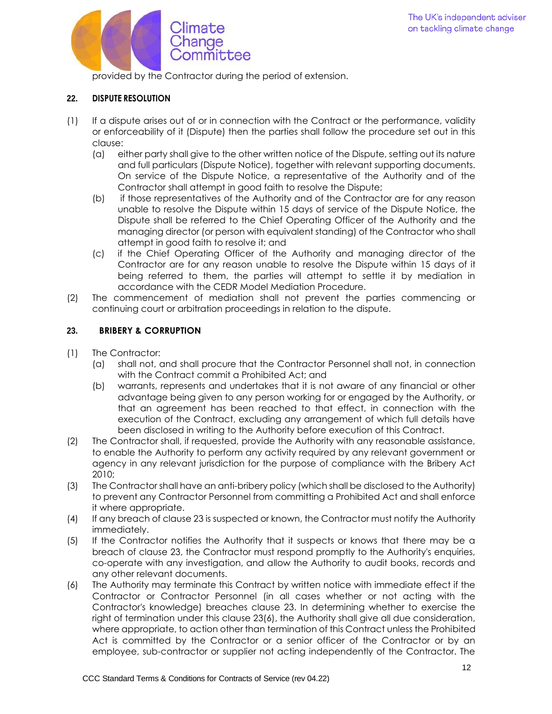

provided by the Contractor during the period of extension.

### **22. DISPUTE RESOLUTION**

- (1) If a dispute arises out of or in connection with the Contract or the performance, validity or enforceability of it (Dispute) then the parties shall follow the procedure set out in this clause:
	- (a) either party shall give to the other written notice of the Dispute, setting out its nature and full particulars (Dispute Notice), together with relevant supporting documents. On service of the Dispute Notice, a representative of the Authority and of the Contractor shall attempt in good faith to resolve the Dispute;
	- (b) if those representatives of the Authority and of the Contractor are for any reason unable to resolve the Dispute within 15 days of service of the Dispute Notice, the Dispute shall be referred to the Chief Operating Officer of the Authority and the managing director (or person with equivalent standing) of the Contractor who shall attempt in good faith to resolve it; and
	- (c) if the Chief Operating Officer of the Authority and managing director of the Contractor are for any reason unable to resolve the Dispute within 15 days of it being referred to them, the parties will attempt to settle it by mediation in accordance with the CEDR Model Mediation Procedure.
- (2) The commencement of mediation shall not prevent the parties commencing or continuing court or arbitration proceedings in relation to the dispute.

## **23. BRIBERY & CORRUPTION**

- (1) The Contractor:
	- (a) shall not, and shall procure that the Contractor Personnel shall not, in connection with the Contract commit a Prohibited Act; and
	- (b) warrants, represents and undertakes that it is not aware of any financial or other advantage being given to any person working for or engaged by the Authority, or that an agreement has been reached to that effect, in connection with the execution of the Contract, excluding any arrangement of which full details have been disclosed in writing to the Authority before execution of this Contract.
- (2) The Contractor shall, if requested, provide the Authority with any reasonable assistance, to enable the Authority to perform any activity required by any relevant government or agency in any relevant jurisdiction for the purpose of compliance with the Bribery Act 2010;
- (3) The Contractor shall have an anti-bribery policy (which shall be disclosed to the Authority) to prevent any Contractor Personnel from committing a Prohibited Act and shall enforce it where appropriate.
- (4) If any breach of clause 23 is suspected or known, the Contractor must notify the Authority immediately.
- (5) If the Contractor notifies the Authority that it suspects or knows that there may be a breach of clause 23, the Contractor must respond promptly to the Authority's enquiries, co-operate with any investigation, and allow the Authority to audit books, records and any other relevant documents.
- (6) The Authority may terminate this Contract by written notice with immediate effect if the Contractor or Contractor Personnel (in all cases whether or not acting with the Contractor's knowledge) breaches clause 23. In determining whether to exercise the right of termination under this clause 23(6), the Authority shall give all due consideration, where appropriate, to action other than termination of this Contract unless the Prohibited Act is committed by the Contractor or a senior officer of the Contractor or by an employee, sub-contractor or supplier not acting independently of the Contractor. The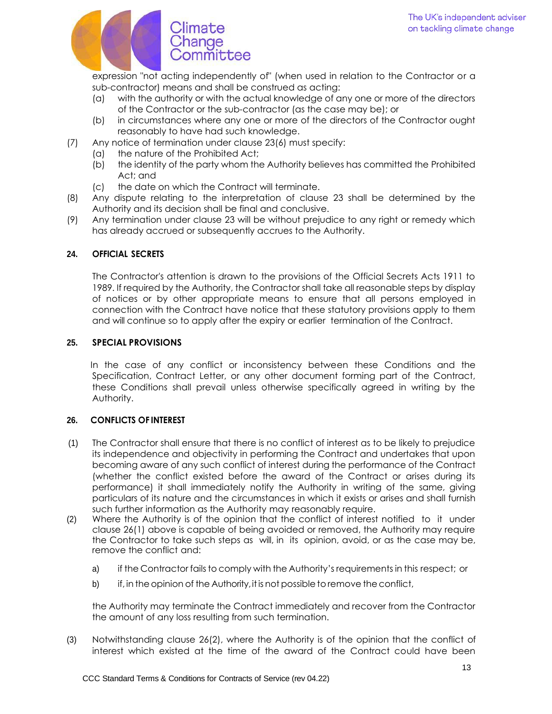

expression "not acting independently of" (when used in relation to the Contractor or a sub-contractor) means and shall be construed as acting:

- (a) with the authority or with the actual knowledge of any one or more of the directors of the Contractor or the sub-contractor (as the case may be); or
- (b) in circumstances where any one or more of the directors of the Contractor ought reasonably to have had such knowledge.
- (7) Any notice of termination under clause 23(6) must specify:
	- (a) the nature of the Prohibited Act;
	- (b) the identity of the party whom the Authority believes has committed the Prohibited Act; and
	- (c) the date on which the Contract will terminate.
- (8) Any dispute relating to the interpretation of clause 23 shall be determined by the Authority and its decision shall be final and conclusive.
- (9) Any termination under clause 23 will be without prejudice to any right or remedy which has already accrued or subsequently accrues to the Authority.

## **24. OFFICIAL SECRETS**

The Contractor's attention is drawn to the provisions of the Official Secrets Acts 1911 to 1989. If required by the Authority, the Contractor shall take all reasonable steps by display of notices or by other appropriate means to ensure that all persons employed in connection with the Contract have notice that these statutory provisions apply to them and will continue so to apply after the expiry or earlier termination of the Contract.

## **25. SPECIAL PROVISIONS**

In the case of any conflict or inconsistency between these Conditions and the Specification, Contract Letter, or any other document forming part of the Contract, these Conditions shall prevail unless otherwise specifically agreed in writing by the Authority.

## **26. CONFLICTS OF INTEREST**

- (1) The Contractor shall ensure that there is no conflict of interest as to be likely to prejudice its independence and objectivity in performing the Contract and undertakes that upon becoming aware of any such conflict of interest during the performance of the Contract (whether the conflict existed before the award of the Contract or arises during its performance) it shall immediately notify the Authority in writing of the same, giving particulars of its nature and the circumstances in which it exists or arises and shall furnish such further information as the Authority may reasonably require.
- (2) Where the Authority is of the opinion that the conflict of interest notified to it under clause 26(1) above is capable of being avoided or removed, the Authority may require the Contractor to take such steps as will, in its opinion, avoid, or as the case may be, remove the conflict and:
	- a) if the Contractor fails to comply with the Authority's requirements in this respect; or
	- b) if, in the opinion of the Authority, it is not possible to remove the conflict,

the Authority may terminate the Contract immediately and recover from the Contractor the amount of any loss resulting from such termination.

(3) Notwithstanding clause 26(2), where the Authority is of the opinion that the conflict of interest which existed at the time of the award of the Contract could have been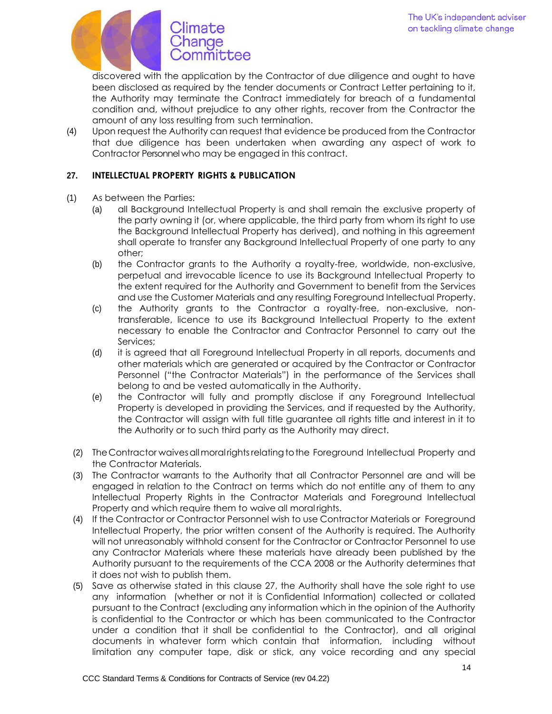

discovered with the application by the Contractor of due diligence and ought to have been disclosed as required by the tender documents or Contract Letter pertaining to it, the Authority may terminate the Contract immediately for breach of a fundamental condition and, without prejudice to any other rights, recover from the Contractor the amount of any loss resulting from such termination.

(4) Upon request the Authority can request that evidence be produced from the Contractor that due diligence has been undertaken when awarding any aspect of work to Contractor Personnel who may be engaged in this contract.

## **27. INTELLECTUAL PROPERTY RIGHTS & PUBLICATION**

- (1) As between the Parties:
	- (a) all Background Intellectual Property is and shall remain the exclusive property of the party owning it (or, where applicable, the third party from whom its right to use the Background Intellectual Property has derived), and nothing in this agreement shall operate to transfer any Background Intellectual Property of one party to any other;
	- (b) the Contractor grants to the Authority a royalty-free, worldwide, non-exclusive, perpetual and irrevocable licence to use its Background Intellectual Property to the extent required for the Authority and Government to benefit from the Services and use the Customer Materials and any resulting Foreground Intellectual Property.
	- (c) the Authority grants to the Contractor a royalty-free, non-exclusive, nontransferable, licence to use its Background Intellectual Property to the extent necessary to enable the Contractor and Contractor Personnel to carry out the Services;
	- (d) it is agreed that all Foreground Intellectual Property in all reports, documents and other materials which are generated or acquired by the Contractor or Contractor Personnel ("the Contractor Materials") in the performance of the Services shall belong to and be vested automatically in the Authority.
	- (e) the Contractor will fully and promptly disclose if any Foreground Intellectual Property is developed in providing the Services, and if requested by the Authority, the Contractor will assign with full title guarantee all rights title and interest in it to the Authority or to such third party as the Authority may direct.
	- (2) TheContractor waivesallmoralrightsrelatingtothe Foreground Intellectual Property and the Contractor Materials.
	- (3) The Contractor warrants to the Authority that all Contractor Personnel are and will be engaged in relation to the Contract on terms which do not entitle any of them to any Intellectual Property Rights in the Contractor Materials and Foreground Intellectual Property and which require them to waive all moral rights.
	- (4) If the Contractor or Contractor Personnel wish to use Contractor Materials or Foreground Intellectual Property, the prior written consent of the Authority is required. The Authority will not unreasonably withhold consent for the Contractor or Contractor Personnel to use any Contractor Materials where these materials have already been published by the Authority pursuant to the requirements of the CCA 2008 or the Authority determines that it does not wish to publish them.
	- (5) Save as otherwise stated in this clause 27, the Authority shall have the sole right to use any information (whether or not it is Confidential Information) collected or collated pursuant to the Contract (excluding any information which in the opinion of the Authority is confidential to the Contractor or which has been communicated to the Contractor under a condition that it shall be confidential to the Contractor), and all original documents in whatever form which contain that information, including without limitation any computer tape, disk or stick, any voice recording and any special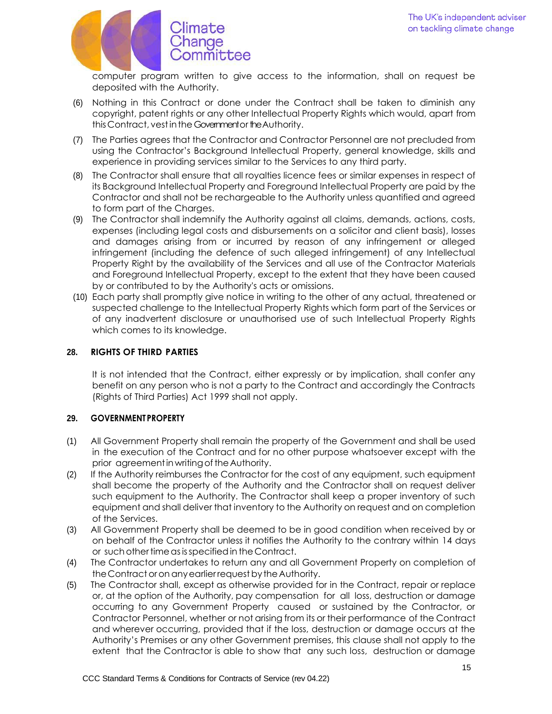

computer program written to give access to the information, shall on request be deposited with the Authority.

- (6) Nothing in this Contract or done under the Contract shall be taken to diminish any copyright, patent rights or any other Intellectual Property Rights which would, apart from this Contract, vest in the Government or the Authority.
- (7) The Parties agrees that the Contractor and Contractor Personnel are not precluded from using the Contractor's Background Intellectual Property, general knowledge, skills and experience in providing services similar to the Services to any third party.
- (8) The Contractor shall ensure that all royalties licence fees or similar expenses in respect of its Background Intellectual Property and Foreground Intellectual Property are paid by the Contractor and shall not be rechargeable to the Authority unless quantified and agreed to form part of the Charges.
- (9) The Contractor shall indemnify the Authority against all claims, demands, actions, costs, expenses (including legal costs and disbursements on a solicitor and client basis), losses and damages arising from or incurred by reason of any infringement or alleged infringement (including the defence of such alleged infringement) of any Intellectual Property Right by the availability of the Services and all use of the Contractor Materials and Foreground Intellectual Property, except to the extent that they have been caused by or contributed to by the Authority's acts or omissions.
- (10) Each party shall promptly give notice in writing to the other of any actual, threatened or suspected challenge to the Intellectual Property Rights which form part of the Services or of any inadvertent disclosure or unauthorised use of such Intellectual Property Rights which comes to its knowledge.

## **28. RIGHTS OF THIRD PARTIES**

It is not intended that the Contract, either expressly or by implication, shall confer any benefit on any person who is not a party to the Contract and accordingly the Contracts (Rights of Third Parties) Act 1999 shall not apply.

#### **29. GOVERNMENT PROPERTY**

- (1) All Government Property shall remain the property of the Government and shall be used in the execution of the Contract and for no other purpose whatsoever except with the prior agreement in writing of the Authority.
- (2) If the Authority reimburses the Contractor for the cost of any equipment, such equipment shall become the property of the Authority and the Contractor shall on request deliver such equipment to the Authority. The Contractor shall keep a proper inventory of such equipment and shall deliver that inventory to the Authority on request and on completion of the Services.
- (3) All Government Property shall be deemed to be in good condition when received by or on behalf of the Contractor unless it notifies the Authority to the contrary within 14 days or suchothertimeasisspecifiedin the Contract.
- (4) The Contractor undertakes to return any and all Government Property on completion of the Contract or on any earlier request by the Authority.
- (5) The Contractor shall, except as otherwise provided for in the Contract, repair or replace or, at the option of the Authority, pay compensation for all loss, destruction or damage occurring to any Government Property caused or sustained by the Contractor, or Contractor Personnel, whether or not arising from its or their performance of the Contract and wherever occurring, provided that if the loss, destruction or damage occurs at the Authority's Premises or any other Government premises, this clause shall not apply to the extent that the Contractor is able to show that any such loss, destruction or damage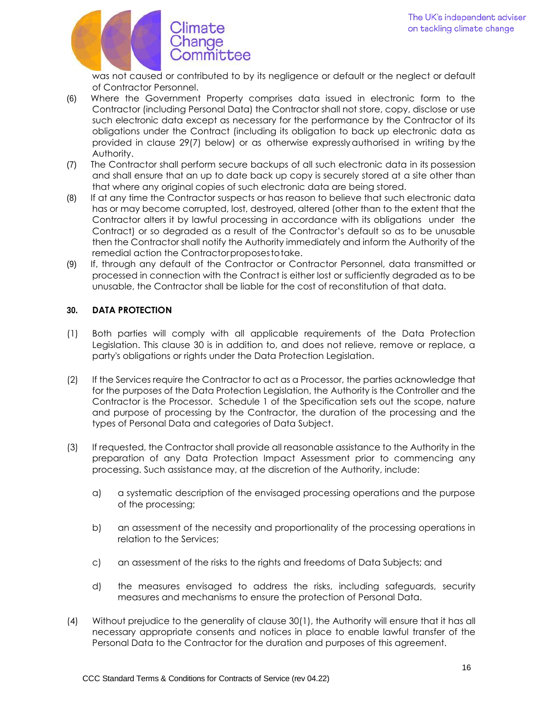

was not caused or contributed to by its negligence or default or the neglect or default of Contractor Personnel.

- (6) Where the Government Property comprises data issued in electronic form to the Contractor (including Personal Data) the Contractor shall not store, copy, disclose or use such electronic data except as necessary for the performance by the Contractor of its obligations under the Contract (including its obligation to back up electronic data as provided in clause 29(7) below) or as otherwise expresslyauthorised in writing by the Authority.
- (7) The Contractor shall perform secure backups of all such electronic data in its possession and shall ensure that an up to date back up copy is securely stored at a site other than that where any original copies of such electronic data are being stored.
- (8) If at any time the Contractor suspects or has reason to believe that such electronic data has or may become corrupted, lost, destroyed, altered (other than to the extent that the Contractor alters it by lawful processing in accordance with its obligations under the Contract) or so degraded as a result of the Contractor's default so as to be unusable then the Contractor shall notify the Authority immediately and inform the Authority of the remedial action the Contractorproposestotake.
- (9) If, through any default of the Contractor or Contractor Personnel, data transmitted or processed in connection with the Contract is either lost or sufficiently degraded as to be unusable, the Contractor shall be liable for the cost of reconstitution of that data.

# **30. DATA PROTECTION**

- (1) Both parties will comply with all applicable requirements of the Data Protection Legislation. This clause 30 is in addition to, and does not relieve, remove or replace, a party's obligations or rights under the Data Protection Legislation.
- (2) If the Services require the Contractor to act as a Processor, the parties acknowledge that for the purposes of the Data Protection Legislation, the Authority is the Controller and the Contractor is the Processor. Schedule 1 of the Specification sets out the scope, nature and purpose of processing by the Contractor, the duration of the processing and the types of Personal Data and categories of Data Subject.
- (3) If requested, the Contractor shall provide all reasonable assistance to the Authority in the preparation of any Data Protection Impact Assessment prior to commencing any processing. Such assistance may, at the discretion of the Authority, include:
	- a) a systematic description of the envisaged processing operations and the purpose of the processing;
	- b) an assessment of the necessity and proportionality of the processing operations in relation to the Services;
	- c) an assessment of the risks to the rights and freedoms of Data Subjects; and
	- d) the measures envisaged to address the risks, including safeguards, security measures and mechanisms to ensure the protection of Personal Data.
- (4) Without prejudice to the generality of clause 30(1), the Authority will ensure that it has all necessary appropriate consents and notices in place to enable lawful transfer of the Personal Data to the Contractor for the duration and purposes of this agreement.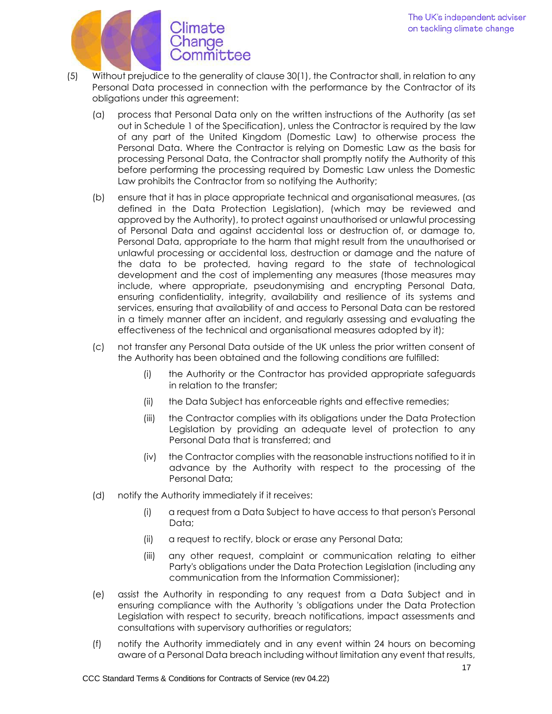

- (5) Without prejudice to the generality of clause 30(1), the Contractor shall, in relation to any Personal Data processed in connection with the performance by the Contractor of its obligations under this agreement:
	- (a) process that Personal Data only on the written instructions of the Authority (as set out in Schedule 1 of the Specification), unless the Contractor is required by the law of any part of the United Kingdom (Domestic Law) to otherwise process the Personal Data. Where the Contractor is relying on Domestic Law as the basis for processing Personal Data, the Contractor shall promptly notify the Authority of this before performing the processing required by Domestic Law unless the Domestic Law prohibits the Contractor from so notifying the Authority;
	- (b) ensure that it has in place appropriate technical and organisational measures, (as defined in the Data Protection Legislation), (which may be reviewed and approved by the Authority), to protect against unauthorised or unlawful processing of Personal Data and against accidental loss or destruction of, or damage to, Personal Data, appropriate to the harm that might result from the unauthorised or unlawful processing or accidental loss, destruction or damage and the nature of the data to be protected, having regard to the state of technological development and the cost of implementing any measures (those measures may include, where appropriate, pseudonymising and encrypting Personal Data, ensuring confidentiality, integrity, availability and resilience of its systems and services, ensuring that availability of and access to Personal Data can be restored in a timely manner after an incident, and regularly assessing and evaluating the effectiveness of the technical and organisational measures adopted by it);
	- (c) not transfer any Personal Data outside of the UK unless the prior written consent of the Authority has been obtained and the following conditions are fulfilled:
		- (i) the Authority or the Contractor has provided appropriate safeguards in relation to the transfer;
		- (ii) the Data Subject has enforceable rights and effective remedies;
		- (iii) the Contractor complies with its obligations under the Data Protection Legislation by providing an adequate level of protection to any Personal Data that is transferred; and
		- (iv) the Contractor complies with the reasonable instructions notified to it in advance by the Authority with respect to the processing of the Personal Data;
	- (d) notify the Authority immediately if it receives:
		- (i) a request from a Data Subject to have access to that person's Personal Data;
		- (ii) a request to rectify, block or erase any Personal Data;
		- (iii) any other request, complaint or communication relating to either Party's obligations under the Data Protection Legislation (including any communication from the Information Commissioner);
	- (e) assist the Authority in responding to any request from a Data Subject and in ensuring compliance with the Authority 's obligations under the Data Protection Legislation with respect to security, breach notifications, impact assessments and consultations with supervisory authorities or regulators;
	- (f) notify the Authority immediately and in any event within 24 hours on becoming aware of a Personal Data breach including without limitation any event that results,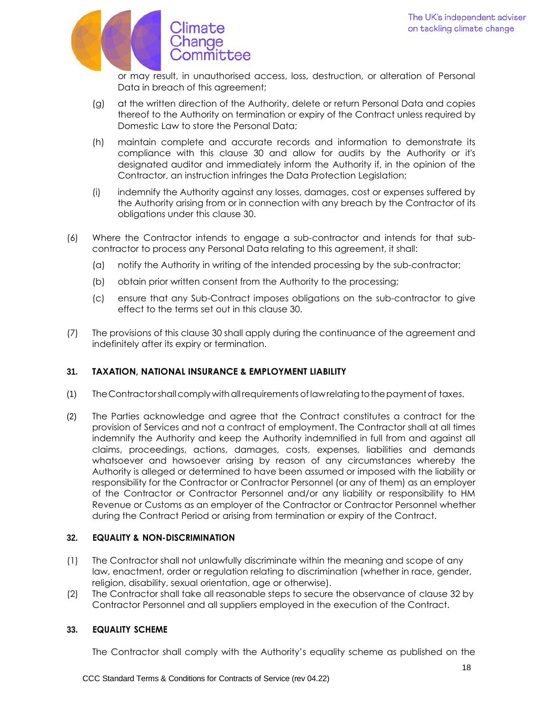

or may result, in unauthorised access, loss, destruction, or alteration of Personal Data in breach of this agreement;

- (g) at the written direction of the Authority, delete or return Personal Data and copies thereof to the Authority on termination or expiry of the Contract unless required by Domestic Law to store the Personal Data;
- (h) maintain complete and accurate records and information to demonstrate its compliance with this clause 30 and allow for audits by the Authority or it's designated auditor and immediately inform the Authority if, in the opinion of the Contractor, an instruction infringes the Data Protection Legislation;
- (i) indemnify the Authority against any losses, damages, cost or expenses suffered by the Authority arising from or in connection with any breach by the Contractor of its obligations under this clause 30.
- (6) Where the Contractor intends to engage a sub-contractor and intends for that subcontractor to process any Personal Data relating to this agreement, it shall:
	- (a) notify the Authority in writing of the intended processing by the sub-contractor;
	- (b) obtain prior written consent from the Authority to the processing;
	- (c) ensure that any Sub-Contract imposes obligations on the sub-contractor to give effect to the terms set out in this clause 30.
- (7) The provisions of this clause 30 shall apply during the continuance of the agreement and indefinitely after its expiry or termination.

## **31. TAXATION, NATIONAL INSURANCE & EMPLOYMENT LIABILITY**

- (1) TheContractorshallcomplywithallrequirements oflawrelatingtothepaymentof taxes.
- (2) The Parties acknowledge and agree that the Contract constitutes a contract for the provision of Services and not a contract of employment. The Contractor shall at all times indemnify the Authority and keep the Authority indemnified in full from and against all claims, proceedings, actions, damages, costs, expenses, liabilities and demands whatsoever and howsoever arising by reason of any circumstances whereby the Authority is alleged or determined to have been assumed or imposed with the liability or responsibility for the Contractor or Contractor Personnel (or any of them) as an employer of the Contractor or Contractor Personnel and/or any liability or responsibility to HM Revenue or Customs as an employer of the Contractor or Contractor Personnel whether during the Contract Period or arising from termination or expiry of the Contract.

## **32. EQUALITY & NON-DISCRIMINATION**

- (1) The Contractor shall not unlawfully discriminate within the meaning and scope of any law, enactment, order or regulation relating to discrimination (whether in race, gender, religion, disability, sexual orientation, age or otherwise).
- (2) The Contractor shall take all reasonable steps to secure the observance of clause 32 by Contractor Personnel and all suppliers employed in the execution of the Contract.

### **33. EQUALITY SCHEME**

The Contractor shall comply with the Authority's equality scheme as published on the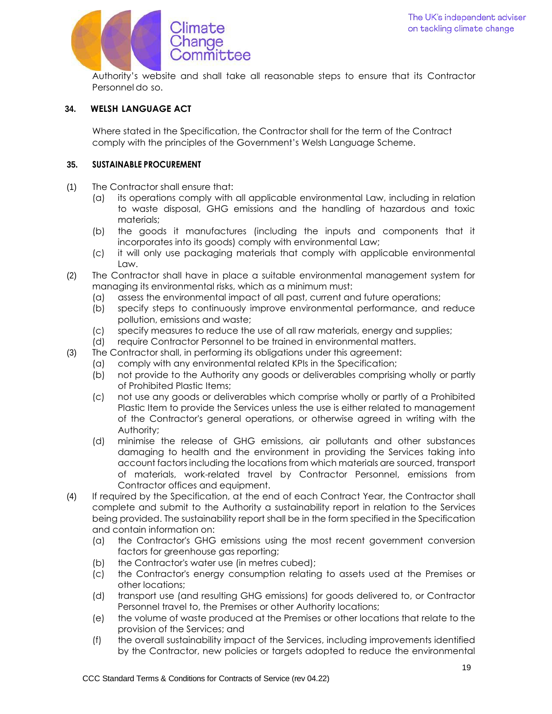

Authority's website and shall take all reasonable steps to ensure that its Contractor Personnel do so.

## **34. WELSH LANGUAGE ACT**

Where stated in the Specification, the Contractor shall for the term of the Contract comply with the principles of the Government's Welsh Language Scheme.

#### **35. SUSTAINABLE PROCUREMENT**

- (1) The Contractor shall ensure that:
	- (a) its operations comply with all applicable environmental Law, including in relation to waste disposal, GHG emissions and the handling of hazardous and toxic materials;
	- (b) the goods it manufactures (including the inputs and components that it incorporates into its goods) comply with environmental Law;
	- (c) it will only use packaging materials that comply with applicable environmental Law.
- (2) The Contractor shall have in place a suitable environmental management system for managing its environmental risks, which as a minimum must:
	- (a) assess the environmental impact of all past, current and future operations;
	- (b) specify steps to continuously improve environmental performance, and reduce pollution, emissions and waste;
	- (c) specify measures to reduce the use of all raw materials, energy and supplies;
	- (d) require Contractor Personnel to be trained in environmental matters.
- (3) The Contractor shall, in performing its obligations under this agreement:
	- (a) comply with any environmental related KPIs in the Specification;
	- (b) not provide to the Authority any goods or deliverables comprising wholly or partly of Prohibited Plastic Items;
	- (c) not use any goods or deliverables which comprise wholly or partly of a Prohibited Plastic Item to provide the Services unless the use is either related to management of the Contractor's general operations, or otherwise agreed in writing with the Authority;
	- (d) minimise the release of GHG emissions, air pollutants and other substances damaging to health and the environment in providing the Services taking into account factors including the locations from which materials are sourced, transport of materials, work-related travel by Contractor Personnel, emissions from Contractor offices and equipment.
- (4) If required by the Specification, at the end of each Contract Year, the Contractor shall complete and submit to the Authority a sustainability report in relation to the Services being provided. The sustainability report shall be in the form specified in the Specification and contain information on:
	- (a) the Contractor's GHG emissions using the most recent government conversion factors for greenhouse gas reporting;
	- (b) the Contractor's water use (in metres cubed);
	- (c) the Contractor's energy consumption relating to assets used at the Premises or other locations;
	- (d) transport use (and resulting GHG emissions) for goods delivered to, or Contractor Personnel travel to, the Premises or other Authority locations;
	- (e) the volume of waste produced at the Premises or other locations that relate to the provision of the Services; and
	- (f) the overall sustainability impact of the Services, including improvements identified by the Contractor, new policies or targets adopted to reduce the environmental